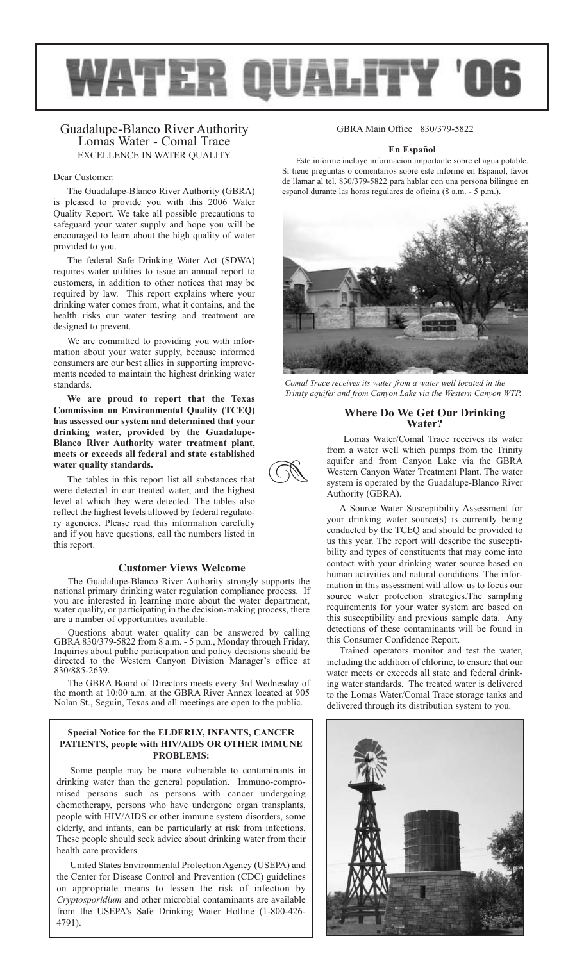

**z** 

# Guadalupe-Blanco River Authority Lomas Water - Comal Trace EXCELLENCE IN WATER QUALITY

### Dear Customer:

The Guadalupe-Blanco River Authority (GBRA) is pleased to provide you with this 2006 Water Quality Report. We take all possible precautions to safeguard your water supply and hope you will be encouraged to learn about the high quality of water provided to you.

The federal Safe Drinking Water Act (SDWA) requires water utilities to issue an annual report to customers, in addition to other notices that may be required by law. This report explains where your drinking water comes from, what it contains, and the health risks our water testing and treatment are designed to prevent.

We are committed to providing you with information about your water supply, because informed consumers are our best allies in supporting improvements needed to maintain the highest drinking water standards.

**We are proud to report that the Texas Commission on Environmental Quality (TCEQ) has assessed our system and determined that your drinking water, provided by the Guadalupe-Blanco River Authority water treatment plant, meets or exceeds all federal and state established water quality standards.**

The tables in this report list all substances that were detected in our treated water, and the highest level at which they were detected. The tables also reflect the highest levels allowed by federal regulatory agencies. Please read this information carefully and if you have questions, call the numbers listed in this report.

## **Customer Views Welcome**

The Guadalupe-Blanco River Authority strongly supports the national primary drinking water regulation compliance process. If you are interested in learning more about the water department, water quality, or participating in the decision-making process, there are a number of opportunities available.

Questions about water quality can be answered by calling GBRA 830/379-5822 from 8 a.m. - 5 p.m., Monday through Friday. Inquiries about public participation and policy decisions should be directed to the Western Canyon Division Manager's office at 830/885-2639.

The GBRA Board of Directors meets every 3rd Wednesday of the month at 10:00 a.m. at the GBRA River Annex located at 905 Nolan St., Seguin, Texas and all meetings are open to the public.

## **Special Notice for the ELDERLY, INFANTS, CANCER PATIENTS, people with HIV/AIDS OR OTHER IMMUNE PROBLEMS:**

Some people may be more vulnerable to contaminants in drinking water than the general population. Immuno-compromised persons such as persons with cancer undergoing chemotherapy, persons who have undergone organ transplants, people with HIV/AIDS or other immune system disorders, some elderly, and infants, can be particularly at risk from infections. These people should seek advice about drinking water from their health care providers.

United States Environmental Protection Agency (USEPA) and the Center for Disease Control and Prevention (CDC) guidelines on appropriate means to lessen the risk of infection by *Cryptosporidium* and other microbial contaminants are available from the USEPA's Safe Drinking Water Hotline (1-800-426- 4791).

# GBRA Main Office 830/379-5822

## **En Español**

Este informe incluye informacion importante sobre el agua potable. Si tiene preguntas o comentarios sobre este informe en Espanol, favor de llamar al tel. 830/379-5822 para hablar con una persona bilingue en espanol durante las horas regulares de oficina (8 a.m. - 5 p.m.).



*Comal Trace receives its water from a water well located in the Trinity aquifer and from Canyon Lake via the Western Canyon WTP.*

# **Where Do We Get Our Drinking Water?**

Lomas Water/Comal Trace receives its water from a water well which pumps from the Trinity aquifer and from Canyon Lake via the GBRA Western Canyon Water Treatment Plant. The water system is operated by the Guadalupe-Blanco River Authority (GBRA).

A Source Water Susceptibility Assessment for your drinking water source(s) is currently being conducted by the TCEQ and should be provided to us this year. The report will describe the susceptibility and types of constituents that may come into contact with your drinking water source based on human activities and natural conditions. The information in this assessment will allow us to focus our source water protection strategies.The sampling requirements for your water system are based on this susceptibility and previous sample data. Any detections of these contaminants will be found in this Consumer Confidence Report.

Trained operators monitor and test the water, including the addition of chlorine, to ensure that our water meets or exceeds all state and federal drinking water standards. The treated water is delivered to the Lomas Water/Comal Trace storage tanks and delivered through its distribution system to you.